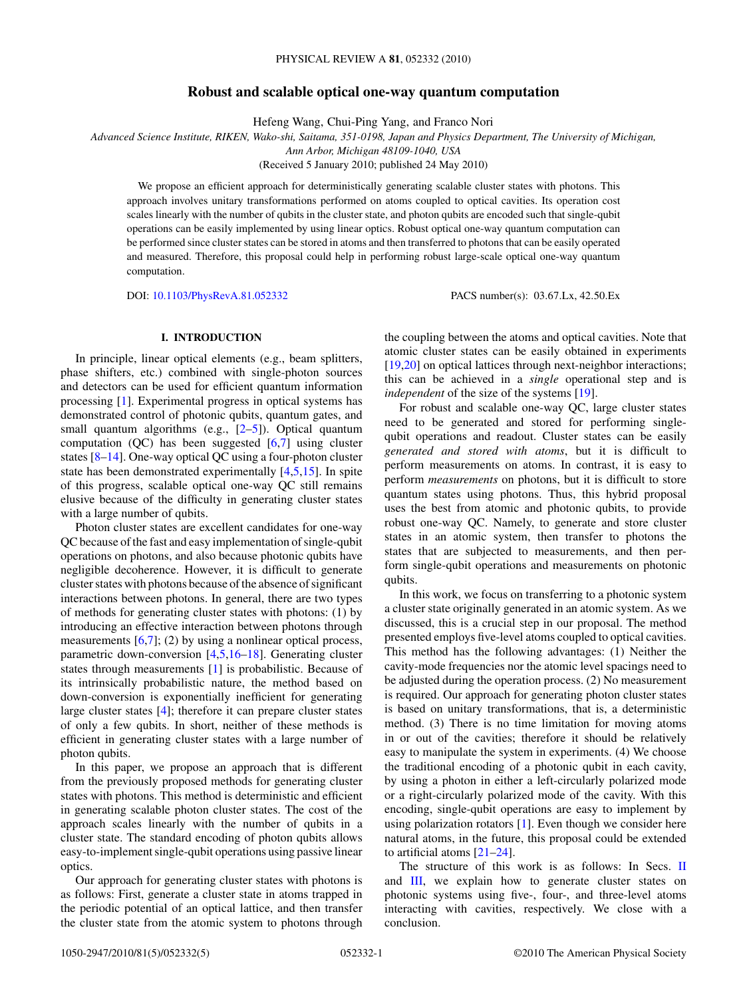# **Robust and scalable optical one-way quantum computation**

Hefeng Wang, Chui-Ping Yang, and Franco Nori

*Advanced Science Institute, RIKEN, Wako-shi, Saitama, 351-0198, Japan and Physics Department, The University of Michigan,*

*Ann Arbor, Michigan 48109-1040, USA*

(Received 5 January 2010; published 24 May 2010)

We propose an efficient approach for deterministically generating scalable cluster states with photons. This approach involves unitary transformations performed on atoms coupled to optical cavities. Its operation cost scales linearly with the number of qubits in the cluster state, and photon qubits are encoded such that single-qubit operations can be easily implemented by using linear optics. Robust optical one-way quantum computation can be performed since cluster states can be stored in atoms and then transferred to photons that can be easily operated and measured. Therefore, this proposal could help in performing robust large-scale optical one-way quantum computation.

DOI: [10.1103/PhysRevA.81.052332](http://dx.doi.org/10.1103/PhysRevA.81.052332) PACS number(s): 03*.*67*.*Lx, 42*.*50*.*Ex

# **I. INTRODUCTION**

In principle, linear optical elements (e.g., beam splitters, phase shifters, etc.) combined with single-photon sources and detectors can be used for efficient quantum information processing [\[1\]](#page-4-0). Experimental progress in optical systems has demonstrated control of photonic qubits, quantum gates, and small quantum algorithms (e.g., [\[2–5\]](#page-4-0)). Optical quantum computation (QC) has been suggested  $[6,7]$  using cluster states [\[8–14\]](#page-4-0). One-way optical QC using a four-photon cluster state has been demonstrated experimentally [\[4,5,15\]](#page-4-0). In spite of this progress, scalable optical one-way QC still remains elusive because of the difficulty in generating cluster states with a large number of qubits.

Photon cluster states are excellent candidates for one-way QC because of the fast and easy implementation of single-qubit operations on photons, and also because photonic qubits have negligible decoherence. However, it is difficult to generate cluster states with photons because of the absence of significant interactions between photons. In general, there are two types of methods for generating cluster states with photons: (1) by introducing an effective interaction between photons through measurements  $[6,7]$ ; (2) by using a nonlinear optical process, parametric down-conversion [\[4,5,16–18\]](#page-4-0). Generating cluster states through measurements [\[1\]](#page-4-0) is probabilistic. Because of its intrinsically probabilistic nature, the method based on down-conversion is exponentially inefficient for generating large cluster states [\[4\]](#page-4-0); therefore it can prepare cluster states of only a few qubits. In short, neither of these methods is efficient in generating cluster states with a large number of photon qubits.

In this paper, we propose an approach that is different from the previously proposed methods for generating cluster states with photons. This method is deterministic and efficient in generating scalable photon cluster states. The cost of the approach scales linearly with the number of qubits in a cluster state. The standard encoding of photon qubits allows easy-to-implement single-qubit operations using passive linear optics.

Our approach for generating cluster states with photons is as follows: First, generate a cluster state in atoms trapped in the periodic potential of an optical lattice, and then transfer the cluster state from the atomic system to photons through

the coupling between the atoms and optical cavities. Note that atomic cluster states can be easily obtained in experiments [\[19,20\]](#page-4-0) on optical lattices through next-neighbor interactions; this can be achieved in a *single* operational step and is *independent* of the size of the systems [\[19\]](#page-4-0).

For robust and scalable one-way QC, large cluster states need to be generated and stored for performing singlequbit operations and readout. Cluster states can be easily *generated and stored with atoms*, but it is difficult to perform measurements on atoms. In contrast, it is easy to perform *measurements* on photons, but it is difficult to store quantum states using photons. Thus, this hybrid proposal uses the best from atomic and photonic qubits, to provide robust one-way QC. Namely, to generate and store cluster states in an atomic system, then transfer to photons the states that are subjected to measurements, and then perform single-qubit operations and measurements on photonic qubits.

In this work, we focus on transferring to a photonic system a cluster state originally generated in an atomic system. As we discussed, this is a crucial step in our proposal. The method presented employs five-level atoms coupled to optical cavities. This method has the following advantages: (1) Neither the cavity-mode frequencies nor the atomic level spacings need to be adjusted during the operation process. (2) No measurement is required. Our approach for generating photon cluster states is based on unitary transformations, that is, a deterministic method. (3) There is no time limitation for moving atoms in or out of the cavities; therefore it should be relatively easy to manipulate the system in experiments. (4) We choose the traditional encoding of a photonic qubit in each cavity, by using a photon in either a left-circularly polarized mode or a right-circularly polarized mode of the cavity. With this encoding, single-qubit operations are easy to implement by using polarization rotators [\[1\]](#page-4-0). Even though we consider here natural atoms, in the future, this proposal could be extended to artificial atoms [\[21–24\]](#page-4-0).

The structure of this work is as follows: In Secs. [II](#page-1-0) and [III,](#page-3-0) we explain how to generate cluster states on photonic systems using five-, four-, and three-level atoms interacting with cavities, respectively. We close with a conclusion.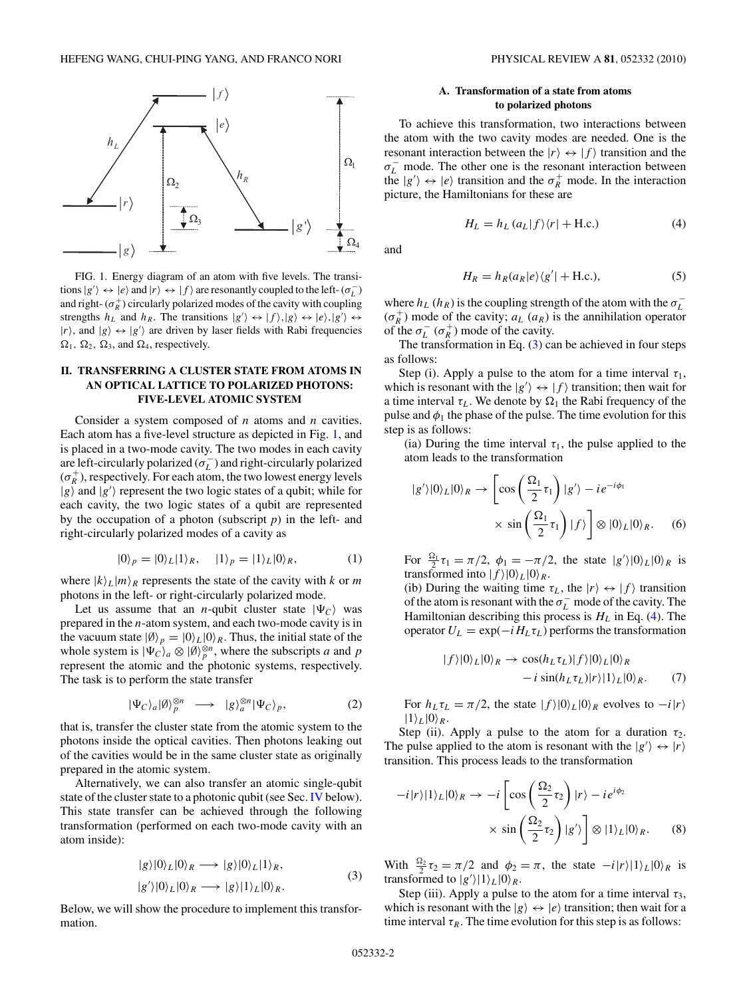<span id="page-1-0"></span>

FIG. 1. Energy diagram of an atom with five levels. The transitions  $|g'\rangle \leftrightarrow |e\rangle$  and  $|r\rangle \leftrightarrow |f\rangle$  are resonantly coupled to the left- ( $\sigma_L^-$ ) and right- $(\sigma_R^+)$  circularly polarized modes of the cavity with coupling strengths  $h_L$  and  $h_R$ . The transitions  $|g' \rangle \leftrightarrow |f \rangle, |g \rangle \leftrightarrow |e \rangle, |g' \rangle \leftrightarrow$  $|r\rangle$ , and  $|g\rangle \leftrightarrow |g'\rangle$  are driven by laser fields with Rabi frequencies  $\Omega_1$ ,  $\Omega_2$ ,  $\Omega_3$ , and  $\Omega_4$ , respectively.

# **II. TRANSFERRING A CLUSTER STATE FROM ATOMS IN AN OPTICAL LATTICE TO POLARIZED PHOTONS: FIVE-LEVEL ATOMIC SYSTEM**

Consider a system composed of *n* atoms and *n* cavities. Each atom has a five-level structure as depicted in Fig. 1, and is placed in a two-mode cavity. The two modes in each cavity are left-circularly polarized ( $\sigma_L^-$ ) and right-circularly polarized  $(\sigma_R^+)$ , respectively. For each atom, the two lowest energy levels  $|g\rangle$  and  $|g'\rangle$  represent the two logic states of a qubit; while for each cavity, the two logic states of a qubit are represented by the occupation of a photon (subscript *p*) in the left- and right-circularly polarized modes of a cavity as

$$
|0\rangle_p = |0\rangle_L |1\rangle_R, \quad |1\rangle_p = |1\rangle_L |0\rangle_R, \tag{1}
$$

where  $|k\rangle_L|m\rangle_R$  represents the state of the cavity with *k* or *m* photons in the left- or right-circularly polarized mode.

Let us assume that an *n*-qubit cluster state  $|\Psi_C\rangle$  was prepared in the *n*-atom system, and each two-mode cavity is in the vacuum state  $|0\rangle_p = |0\rangle_L |0\rangle_R$ . Thus, the initial state of the whole system is  $|\Psi_C\rangle_a \otimes |\emptyset\rangle_p^{\otimes n}$ , where the subscripts *a* and *p* represent the atomic and the photonic systems, respectively. The task is to perform the state transfer

$$
|\Psi_C\rangle_a |\emptyset\rangle_p^{\otimes n} \longrightarrow |g\rangle_a^{\otimes n} |\Psi_C\rangle_p, \tag{2}
$$

that is, transfer the cluster state from the atomic system to the photons inside the optical cavities. Then photons leaking out of the cavities would be in the same cluster state as originally prepared in the atomic system.

Alternatively, we can also transfer an atomic single-qubit state of the cluster state to a photonic qubit (see Sec. [IV](#page-4-0) below). This state transfer can be achieved through the following transformation (performed on each two-mode cavity with an atom inside):

$$
|g\rangle|0\rangle_L|0\rangle_R \longrightarrow |g\rangle|0\rangle_L|1\rangle_R,
$$
  

$$
|g'\rangle|0\rangle_L|0\rangle_R \longrightarrow |g\rangle|1\rangle_L|0\rangle_R.
$$
 (3)

Below, we will show the procedure to implement this transformation.

# **A. Transformation of a state from atoms to polarized photons**

To achieve this transformation, two interactions between the atom with the two cavity modes are needed. One is the resonant interaction between the  $|r\rangle \leftrightarrow |f\rangle$  transition and the  $\sigma_L^-$  mode. The other one is the resonant interaction between the  $|g'\rangle \leftrightarrow |e\rangle$  transition and the  $\sigma_R^+$  mode. In the interaction picture, the Hamiltonians for these are

$$
H_L = h_L (a_L |f\rangle\langle r| + \text{H.c.})
$$
 (4)

and

$$
H_R = h_R(a_R|e\rangle\langle g'| + \text{H.c.}),\tag{5}
$$

where  $h_L$  ( $h_R$ ) is the coupling strength of the atom with the  $\sigma_L^ (\sigma_R^+)$  mode of the cavity;  $a_L$  ( $a_R$ ) is the annihilation operator of the  $\sigma_L^-(\sigma_R^+)$  mode of the cavity.

The transformation in Eq.  $(3)$  can be achieved in four steps as follows:

Step (i). Apply a pulse to the atom for a time interval  $\tau_1$ , which is resonant with the  $|g'\rangle \leftrightarrow |f\rangle$  transition; then wait for a time interval  $\tau_L$ . We denote by  $\Omega_1$  the Rabi frequency of the pulse and  $\phi_1$  the phase of the pulse. The time evolution for this step is as follows:

(ia) During the time interval  $\tau_1$ , the pulse applied to the atom leads to the transformation

$$
|g'\rangle|0\rangle_L|0\rangle_R \to \left[\cos\left(\frac{\Omega_1}{2}\tau_1\right)|g'\rangle - ie^{-i\phi_1}\right] \times \sin\left(\frac{\Omega_1}{2}\tau_1\right)|f\rangle\right] \otimes |0\rangle_L|0\rangle_R. \quad (6)
$$

For  $\frac{\Omega_1}{2}\tau_1 = \pi/2$ ,  $\phi_1 = -\pi/2$ , the state  $|g'\rangle|0\rangle_L|0\rangle_R$  is transformed into  $|f\rangle|0\rangle_L|0\rangle_R$ .

(ib) During the waiting time  $\tau_L$ , the  $|r\rangle \leftrightarrow |f\rangle$  transition of the atom is resonant with the  $\sigma_L^-$  mode of the cavity. The Hamiltonian describing this process is  $H_L$  in Eq. (4). The operator  $U_L = \exp(-i H_L \tau_L)$  performs the transformation

$$
|f\rangle|0\rangle_L|0\rangle_R \to \cos(h_L \tau_L)|f\rangle|0\rangle_L|0\rangle_R
$$
  
-  $i \sin(h_L \tau_L)|r\rangle|1\rangle_L|0\rangle_R.$  (7)

For  $h_L \tau_L = \pi/2$ , the state  $|f\rangle|0\rangle_L|0\rangle_R$  evolves to  $-i|r\rangle$  $|1\rangle_L|0\rangle_R$ .

Step (ii). Apply a pulse to the atom for a duration  $\tau_2$ . The pulse applied to the atom is resonant with the  $|g'\rangle \leftrightarrow |r\rangle$ transition. This process leads to the transformation

$$
-i|r\rangle|1\rangle_L|0\rangle_R \to -i\left[\cos\left(\frac{\Omega_2}{2}\tau_2\right)|r\rangle - ie^{i\phi_2}\right] \times \sin\left(\frac{\Omega_2}{2}\tau_2\right)|g'\rangle\right] \otimes |1\rangle_L|0\rangle_R. \tag{8}
$$

With  $\frac{\Omega_2}{2} \tau_2 = \pi/2$  and  $\phi_2 = \pi$ , the state  $-i|r\rangle|1\rangle_L|0\rangle_R$  is transformed to  $|g'\rangle|1\rangle_L|0\rangle_R$ .

Step (iii). Apply a pulse to the atom for a time interval  $\tau_3$ , which is resonant with the  $|g\rangle \leftrightarrow |e\rangle$  transition; then wait for a time interval  $\tau_R$ . The time evolution for this step is as follows: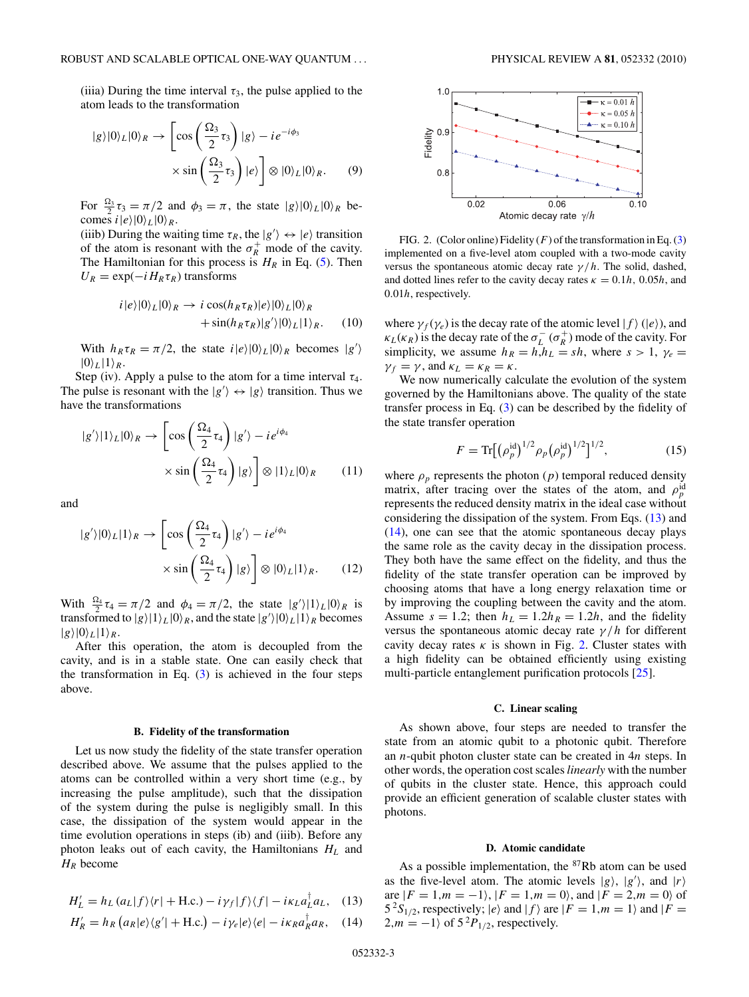(iiia) During the time interval  $\tau_3$ , the pulse applied to the atom leads to the transformation

$$
|g\rangle|0\rangle_L|0\rangle_R \to \left[\cos\left(\frac{\Omega_3}{2}\tau_3\right)|g\rangle - ie^{-i\phi_3}\right] \times \sin\left(\frac{\Omega_3}{2}\tau_3\right)|e\rangle\right] \otimes |0\rangle_L|0\rangle_R. \tag{9}
$$

For  $\frac{\Omega_3}{2} \tau_3 = \pi/2$  and  $\phi_3 = \pi$ , the state  $|g\rangle|0\rangle_L|0\rangle_R$  becomes  $i|e\rangle|0\rangle_L|0\rangle_R$ .

(iiib) During the waiting time  $\tau_R$ , the  $|g'\rangle \leftrightarrow |e\rangle$  transition of the atom is resonant with the  $\sigma_R^+$  mode of the cavity. The Hamiltonian for this process is  $H_R$  in Eq. [\(5\)](#page-1-0). Then  $U_R = \exp(-i H_R \tau_R)$  transforms

$$
i|e\rangle|0\rangle_L|0\rangle_R \rightarrow i\cos(h_R \tau_R)|e\rangle|0\rangle_L|0\rangle_R
$$
  
+ 
$$
\sin(h_R \tau_R)|g\rangle|0\rangle_L|1\rangle_R. \quad (10)
$$

With  $h_R \tau_R = \pi/2$ , the state  $i|e\rangle|0\rangle_L|0\rangle_R$  becomes  $|g'\rangle$  $|0\rangle_L|1\rangle_R$ .

Step (iv). Apply a pulse to the atom for a time interval *τ*4. The pulse is resonant with the  $|g'\rangle \leftrightarrow |g\rangle$  transition. Thus we have the transformations

$$
|g'\rangle|1\rangle_L|0\rangle_R \to \left[\cos\left(\frac{\Omega_4}{2}\tau_4\right)|g'\rangle - ie^{i\phi_4}\right] \times \sin\left(\frac{\Omega_4}{2}\tau_4\right)|g\rangle\right] \otimes |1\rangle_L|0\rangle_R \tag{11}
$$

and

$$
|g'\rangle|0\rangle_L|1\rangle_R \to \left[\cos\left(\frac{\Omega_4}{2}\tau_4\right)|g'\rangle - ie^{i\phi_4}\right] \times \sin\left(\frac{\Omega_4}{2}\tau_4\right)|g\rangle\right] \otimes |0\rangle_L|1\rangle_R. \tag{12}
$$

With  $\frac{\Omega_4}{2}\tau_4 = \pi/2$  and  $\phi_4 = \pi/2$ , the state  $|g'\rangle|1\rangle_L|0\rangle_R$  is transformed to  $|g\rangle|1\rangle_L|0\rangle_R$ , and the state  $|g'\rangle|0\rangle_L|1\rangle_R$  becomes  $|g\rangle|0\rangle_L|1\rangle_R.$ 

After this operation, the atom is decoupled from the cavity, and is in a stable state. One can easily check that the transformation in Eq.  $(3)$  is achieved in the four steps above.

## **B. Fidelity of the transformation**

Let us now study the fidelity of the state transfer operation described above. We assume that the pulses applied to the atoms can be controlled within a very short time (e.g., by increasing the pulse amplitude), such that the dissipation of the system during the pulse is negligibly small. In this case, the dissipation of the system would appear in the time evolution operations in steps (ib) and (iiib). Before any photon leaks out of each cavity, the Hamiltonians *HL* and *HR* become

$$
H'_{L} = h_{L}(a_{L}|f\rangle\langle r| + \text{H.c.}) - i\gamma_{f}|f\rangle\langle f| - i\kappa_{L}a_{L}^{\dagger}a_{L}, \quad (13)
$$

$$
H'_{R} = h_{R} (a_{R} |e\rangle\langle g'| + \text{H.c.}) - i\gamma_{e} |e\rangle\langle e| - i\kappa_{R} a_{R}^{\dagger} a_{R}, \quad (14)
$$



FIG. 2. (Color online) Fidelity (*F*) of the transformation in Eq. [\(3\)](#page-1-0) implemented on a five-level atom coupled with a two-mode cavity versus the spontaneous atomic decay rate *γ/h*. The solid, dashed, and dotted lines refer to the cavity decay rates  $\kappa = 0.1h$ , 0*.05h*, and 0*.*01*h*, respectively.

where  $\gamma_f(\gamma_e)$  is the decay rate of the atomic level  $|f\rangle$  ( $|e\rangle$ ), and  $\kappa_L(\kappa_R)$  is the decay rate of the  $\sigma_L^-(\sigma_R^+)$  mode of the cavity. For simplicity, we assume  $h_R = h, h_L = sh$ , where  $s > 1$ ,  $\gamma_e =$  $\gamma_f = \gamma$ , and  $\kappa_L = \kappa_R = \kappa$ .

We now numerically calculate the evolution of the system governed by the Hamiltonians above. The quality of the state transfer process in Eq. [\(3\)](#page-1-0) can be described by the fidelity of the state transfer operation

$$
F = \text{Tr}[(\rho_p^{\text{id}})^{1/2} \rho_p (\rho_p^{\text{id}})^{1/2}]^{1/2}, \tag{15}
$$

where  $\rho_p$  represents the photon  $(p)$  temporal reduced density matrix, after tracing over the states of the atom, and  $\rho_p^{\text{id}}$ represents the reduced density matrix in the ideal case without considering the dissipation of the system. From Eqs. (13) and (14), one can see that the atomic spontaneous decay plays the same role as the cavity decay in the dissipation process. They both have the same effect on the fidelity, and thus the fidelity of the state transfer operation can be improved by choosing atoms that have a long energy relaxation time or by improving the coupling between the cavity and the atom. Assume  $s = 1.2$ ; then  $h<sub>L</sub> = 1.2h<sub>R</sub> = 1.2h$ , and the fidelity versus the spontaneous atomic decay rate *γ/h* for different cavity decay rates  $\kappa$  is shown in Fig. 2. Cluster states with a high fidelity can be obtained efficiently using existing multi-particle entanglement purification protocols [\[25\]](#page-4-0).

#### **C. Linear scaling**

As shown above, four steps are needed to transfer the state from an atomic qubit to a photonic qubit. Therefore an *n*-qubit photon cluster state can be created in 4*n* steps. In other words, the operation cost scales*linearly* with the number of qubits in the cluster state. Hence, this approach could provide an efficient generation of scalable cluster states with photons.

#### **D. Atomic candidate**

As a possible implementation, the  $87Rb$  atom can be used as the five-level atom. The atomic levels  $|g\rangle$ ,  $|g'\rangle$ , and  $|r\rangle$  $\arg \{F = 1, m = -1\}, \, |F = 1, m = 0\}, \, \text{and } |F = 2, m = 0\}$  of  $5^{2}S_{1/2}$ , respectively;  $|e\rangle$  and  $|f\rangle$  are  $|F = 1, m = 1\rangle$  and  $|F = 1, m = 1\rangle$  $2,m = -1$  of  $5<sup>2</sup>P<sub>1/2</sub>$ , respectively.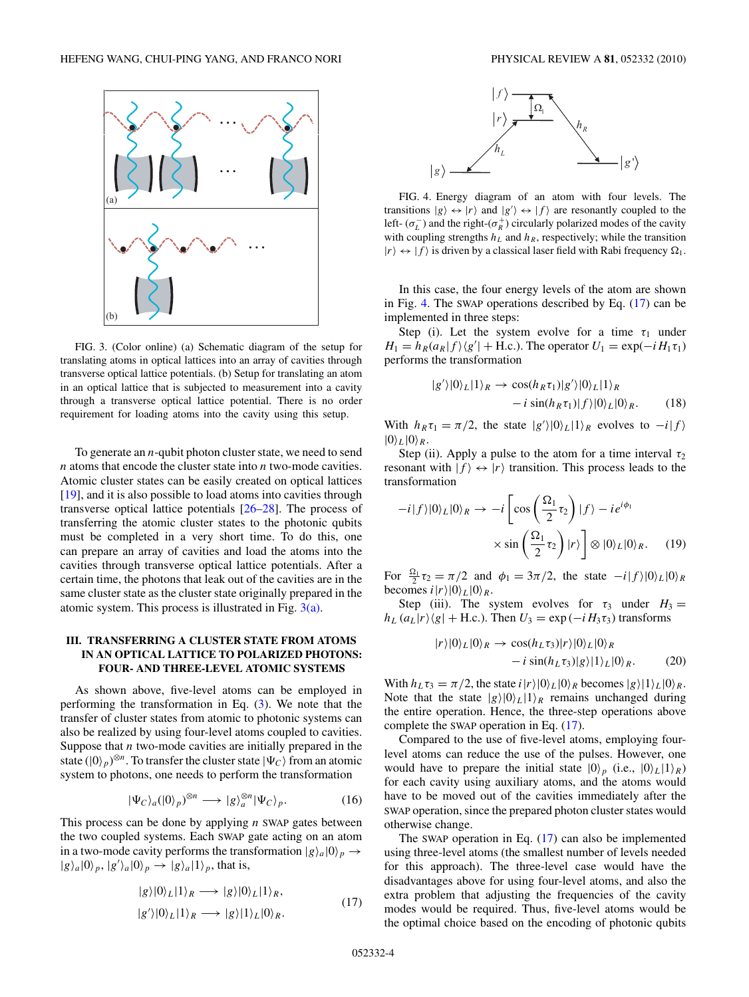<span id="page-3-0"></span>

FIG. 3. (Color online) (a) Schematic diagram of the setup for translating atoms in optical lattices into an array of cavities through transverse optical lattice potentials. (b) Setup for translating an atom in an optical lattice that is subjected to measurement into a cavity through a transverse optical lattice potential. There is no order requirement for loading atoms into the cavity using this setup.

To generate an *n*-qubit photon cluster state, we need to send *n* atoms that encode the cluster state into *n* two-mode cavities. Atomic cluster states can be easily created on optical lattices [\[19\]](#page-4-0), and it is also possible to load atoms into cavities through transverse optical lattice potentials [\[26–28\]](#page-4-0). The process of transferring the atomic cluster states to the photonic qubits must be completed in a very short time. To do this, one can prepare an array of cavities and load the atoms into the cavities through transverse optical lattice potentials. After a certain time, the photons that leak out of the cavities are in the same cluster state as the cluster state originally prepared in the atomic system. This process is illustrated in Fig.  $3(a)$ .

## **III. TRANSFERRING A CLUSTER STATE FROM ATOMS IN AN OPTICAL LATTICE TO POLARIZED PHOTONS: FOUR- AND THREE-LEVEL ATOMIC SYSTEMS**

As shown above, five-level atoms can be employed in performing the transformation in Eq. [\(3\)](#page-1-0). We note that the transfer of cluster states from atomic to photonic systems can also be realized by using four-level atoms coupled to cavities. Suppose that *n* two-mode cavities are initially prepared in the state  $(|0\rangle_p)^{\otimes n}$ . To transfer the cluster state  $|\Psi_C\rangle$  from an atomic system to photons, one needs to perform the transformation

$$
|\Psi_C\rangle_a (|0\rangle_p)^{\otimes n} \longrightarrow |g\rangle_a^{\otimes n} |\Psi_C\rangle_p. \tag{16}
$$

This process can be done by applying *n* SWAP gates between the two coupled systems. Each SWAP gate acting on an atom in a two-mode cavity performs the transformation  $|g\rangle_a|0\rangle_p \rightarrow$  $|g\rangle_a|0\rangle_p, |g'\rangle_a|0\rangle_p \rightarrow |g\rangle_a|1\rangle_p$ , that is,

$$
|g\rangle|0\rangle_L|1\rangle_R \longrightarrow |g\rangle|0\rangle_L|1\rangle_R, |g'\rangle|0\rangle_L|1\rangle_R \longrightarrow |g\rangle|1\rangle_L|0\rangle_R.
$$
 (17)





FIG. 4. Energy diagram of an atom with four levels. The transitions  $|g\rangle \leftrightarrow |r\rangle$  and  $|g'\rangle \leftrightarrow |f\rangle$  are resonantly coupled to the left- ( $\sigma_L^-$ ) and the right-( $\sigma_R^+$ ) circularly polarized modes of the cavity with coupling strengths  $h_L$  and  $h_R$ , respectively; while the transition  $|r\rangle \leftrightarrow |f\rangle$  is driven by a classical laser field with Rabi frequency  $\Omega_1$ .

In this case, the four energy levels of the atom are shown in Fig. 4. The SWAP operations described by Eq. (17) can be implemented in three steps:

Step (i). Let the system evolve for a time  $\tau_1$  under  $H_1 = h_R(a_R|f) \langle g'| + \text{H.c.}$ ). The operator  $U_1 = \exp(-iH_1\tau_1)$ performs the transformation

$$
|g'\rangle|0\rangle_L|1\rangle_R \rightarrow \cos(h_R \tau_1)|g'\rangle|0\rangle_L|1\rangle_R -i\sin(h_R \tau_1)|f\rangle|0\rangle_L|0\rangle_R.
$$
 (18)

With  $h_R \tau_1 = \pi/2$ , the state  $|g'| \langle 0 \rangle_L |1 \rangle_R$  evolves to  $-i |f \rangle$  $|0\rangle_L|0\rangle_R$ .

Step (ii). Apply a pulse to the atom for a time interval  $\tau_2$ resonant with  $|f\rangle \leftrightarrow |r\rangle$  transition. This process leads to the transformation

$$
-i|f\rangle|0\rangle_L|0\rangle_R \to -i\left[\cos\left(\frac{\Omega_1}{2}\tau_2\right)|f\rangle - ie^{i\phi_1}\right] \times \sin\left(\frac{\Omega_1}{2}\tau_2\right)|r\rangle\right] \otimes |0\rangle_L|0\rangle_R. \quad (19)
$$

For  $\frac{\Omega_1}{2} \tau_2 = \pi/2$  and  $\phi_1 = 3\pi/2$ , the state  $-i|f\rangle|0\rangle_L|0\rangle_R$ becomes  $i|r\rangle|0\rangle_L|0\rangle_R$ .

Step (iii). The system evolves for  $\tau_3$  under  $H_3 =$  $h_L$  ( $a_L$ |*r*  $\rangle$   $\langle g$ | + H.c.). Then  $U_3 = \exp(-iH_3\tau_3)$  transforms

$$
|r\rangle|0\rangle_L|0\rangle_R \to \cos(h_L \tau_3)|r\rangle|0\rangle_L|0\rangle_R
$$
  
-  $i \sin(h_L \tau_3)|g\rangle|1\rangle_L|0\rangle_R.$  (20)

With  $h_L \tau_3 = \pi/2$ , the state  $i|r\rangle|0\rangle_L|0\rangle_R$  becomes  $|g\rangle|1\rangle_L|0\rangle_R$ . Note that the state  $|g\rangle|0\rangle_L|1\rangle_R$  remains unchanged during the entire operation. Hence, the three-step operations above complete the SWAP operation in Eq. (17).

Compared to the use of five-level atoms, employing fourlevel atoms can reduce the use of the pulses. However, one would have to prepare the initial state  $|0\rangle_p$  (i.e.,  $|0\rangle_L|1\rangle_R$ ) for each cavity using auxiliary atoms, and the atoms would have to be moved out of the cavities immediately after the SWAP operation, since the prepared photon cluster states would otherwise change.

The SWAP operation in Eq.  $(17)$  can also be implemented using three-level atoms (the smallest number of levels needed for this approach). The three-level case would have the disadvantages above for using four-level atoms, and also the extra problem that adjusting the frequencies of the cavity modes would be required. Thus, five-level atoms would be the optimal choice based on the encoding of photonic qubits